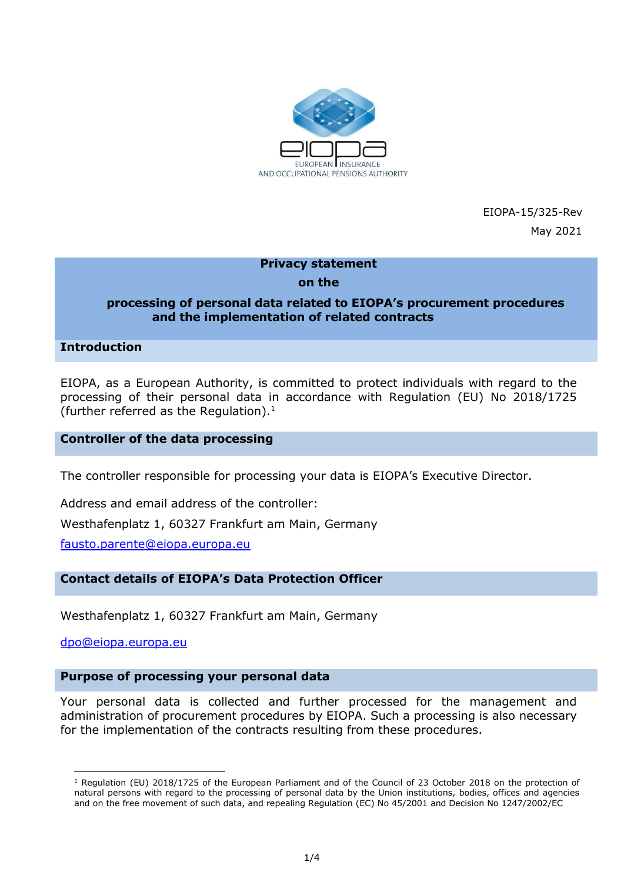

EIOPA-15/325-Rev

May 2021

# **Privacy statement**

### **on the**

### **processing of personal data related to EIOPA's procurement procedures and the implementation of related contracts**

**Introduction**

EIOPA, as a European Authority, is committed to protect individuals with regard to the processing of their personal data in accordance with Regulation (EU) No 2018/1725 (further referred as the Regulation).<sup>1</sup>

**Controller of the data processing**

The controller responsible for processing your data is EIOPA's Executive Director.

Address and email address of the controller:

Westhafenplatz 1, 60327 Frankfurt am Main, Germany

[fausto.parente@eiopa.europa.eu](mailto:fausto.parente@eiopa.europa.eu)

### **Contact details of EIOPA's Data Protection Officer**

Westhafenplatz 1, 60327 Frankfurt am Main, Germany

[dpo@eiopa.europa.eu](mailto:dpo@eiopa.europa.eu) 

 $\overline{\phantom{a}}$ 

#### **Purpose of processing your personal data**

Your personal data is collected and further processed for the management and administration of procurement procedures by EIOPA. Such a processing is also necessary for the implementation of the contracts resulting from these procedures.

<sup>1</sup> Regulation (EU) 2018/1725 of the European Parliament and of the Council of 23 October 2018 on the protection of natural persons with regard to the processing of personal data by the Union institutions, bodies, offices and agencies and on the free movement of such data, and repealing Regulation (EC) No 45/2001 and Decision No 1247/2002/EC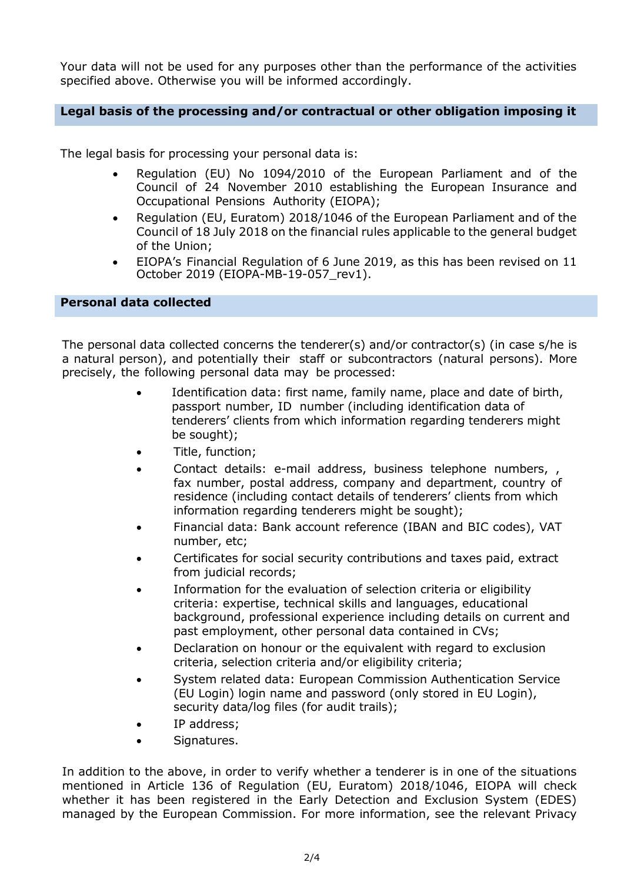Your data will not be used for any purposes other than the performance of the activities specified above. Otherwise you will be informed accordingly.

### **Legal basis of the processing and/or contractual or other obligation imposing it**

The legal basis for processing your personal data is:

- Regulation (EU) No 1094/2010 of the European Parliament and of the Council of 24 November 2010 establishing the European Insurance and Occupational Pensions Authority (EIOPA);
- Regulation (EU, Euratom) 2018/1046 of the European Parliament and of the Council of 18 July 2018 on the financial rules applicable to the general budget of the Union;
- EIOPA's Financial Regulation of 6 June 2019, as this has been revised on 11 October 2019 (EIOPA-MB-19-057\_rev1).

### **Personal data collected**

The personal data collected concerns the tenderer(s) and/or contractor(s) (in case s/he is a natural person), and potentially their staff or subcontractors (natural persons). More precisely, the following personal data may be processed:

- Identification data: first name, family name, place and date of birth, passport number, ID number (including identification data of tenderers' clients from which information regarding tenderers might be sought);
- Title, function;
- Contact details: e-mail address, business telephone numbers, , fax number, postal address, company and department, country of residence (including contact details of tenderers' clients from which information regarding tenderers might be sought);
- Financial data: Bank account reference (IBAN and BIC codes), VAT number, etc;
- Certificates for social security contributions and taxes paid, extract from judicial records;
- Information for the evaluation of selection criteria or eligibility criteria: expertise, technical skills and languages, educational background, professional experience including details on current and past employment, other personal data contained in CVs;
- Declaration on honour or the equivalent with regard to exclusion criteria, selection criteria and/or eligibility criteria;
- System related data: European Commission Authentication Service (EU Login) login name and password (only stored in EU Login), security data/log files (for audit trails);
- IP address;
- Signatures.

In addition to the above, in order to verify whether a tenderer is in one of the situations mentioned in Article 136 of Regulation (EU, Euratom) 2018/1046, EIOPA will check whether it has been registered in the Early Detection and Exclusion System (EDES) managed by the European Commission. For more information, see the relevant Privacy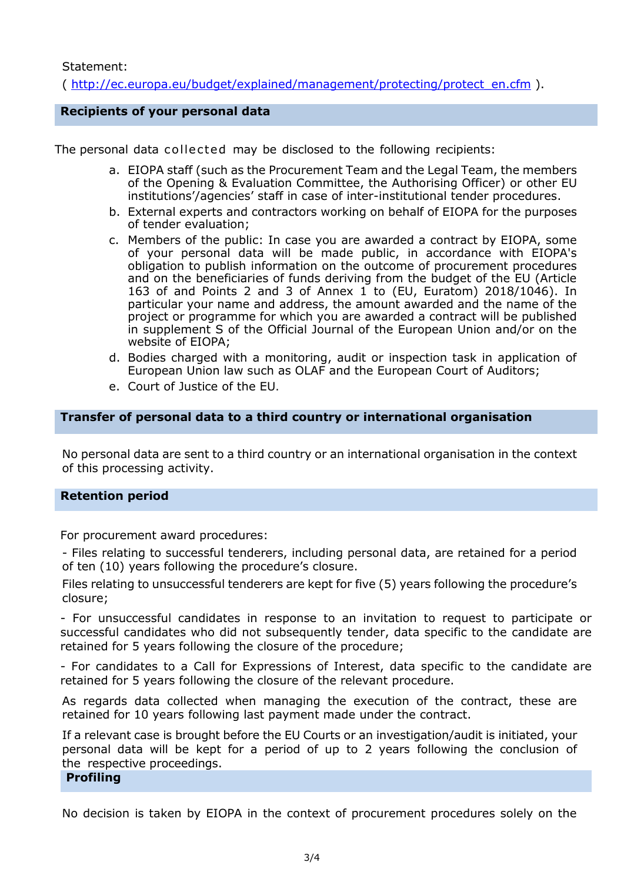Statement:

( [http://ec.europa.eu/budget/explained/management/protecting/protect\\_en.cfm](http://ec.europa.eu/budget/explained/management/protecting/protect_en.cfm) ).

### **Recipients of your personal data**

The personal data collected may be disclosed to the following recipients:

- a. EIOPA staff (such as the Procurement Team and the Legal Team, the members of the Opening & Evaluation Committee, the Authorising Officer) or other EU institutions'/agencies' staff in case of inter-institutional tender procedures.
- b. External experts and contractors working on behalf of EIOPA for the purposes of tender evaluation;
- c. Members of the public: In case you are awarded a contract by EIOPA, some of your personal data will be made public, in accordance with EIOPA's obligation to publish information on the outcome of procurement procedures and on the beneficiaries of funds deriving from the budget of the EU (Article 163 of and Points 2 and 3 of Annex 1 to (EU, Euratom) 2018/1046). In particular your name and address, the amount awarded and the name of the project or programme for which you are awarded a contract will be published in supplement S of the Official Journal of the European Union and/or on the website of EIOPA;
- d. Bodies charged with a monitoring, audit or inspection task in application of European Union law such as OLAF and the European Court of Auditors;
- e. Court of Justice of the EU.

### **Transfer of personal data to a third country or international organisation**

No personal data are sent to a third country or an international organisation in the context of this processing activity.

### **Retention period**

For procurement award procedures:

- Files relating to successful tenderers, including personal data, are retained for a period of ten (10) years following the procedure's closure.

Files relating to unsuccessful tenderers are kept for five (5) years following the procedure's closure;

- For unsuccessful candidates in response to an invitation to request to participate or successful candidates who did not subsequently tender, data specific to the candidate are retained for 5 years following the closure of the procedure;

- For candidates to a Call for Expressions of Interest, data specific to the candidate are retained for 5 years following the closure of the relevant procedure.

As regards data collected when managing the execution of the contract, these are retained for 10 years following last payment made under the contract.

If a relevant case is brought before the EU Courts or an investigation/audit is initiated, your personal data will be kept for a period of up to 2 years following the conclusion of the respective proceedings.

## **Profiling**

No decision is taken by EIOPA in the context of procurement procedures solely on the